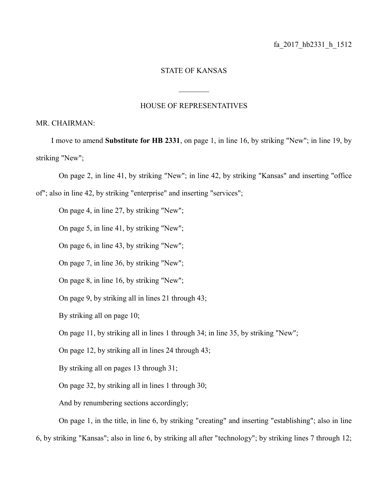## STATE OF KANSAS

 $\frac{1}{2}$ 

## HOUSE OF REPRESENTATIVES

## MR. CHAIRMAN:

I move to amend **Substitute for HB 2331**, on page 1, in line 16, by striking "New"; in line 19, by striking "New";

On page 2, in line 41, by striking "New"; in line 42, by striking "Kansas" and inserting "office of"; also in line 42, by striking "enterprise" and inserting "services";

On page 4, in line 27, by striking "New";

On page 5, in line 41, by striking "New";

On page 6, in line 43, by striking "New";

On page 7, in line 36, by striking "New";

On page 8, in line 16, by striking "New";

On page 9, by striking all in lines 21 through 43;

By striking all on page 10;

On page 11, by striking all in lines 1 through 34; in line 35, by striking "New";

On page 12, by striking all in lines 24 through 43;

By striking all on pages 13 through 31;

On page 32, by striking all in lines 1 through 30;

And by renumbering sections accordingly;

On page 1, in the title, in line 6, by striking "creating" and inserting "establishing"; also in line

6, by striking "Kansas"; also in line 6, by striking all after "technology"; by striking lines 7 through 12;